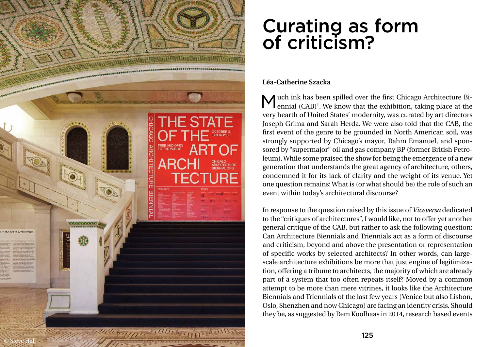## Curating as form of criticism?

## **Léa-Catherine Szacka**

Much ink has been spilled over the first Chicago Architecture Bi-<br>ennial (CAB)<sup>1</sup>. We know that the exhibition, taking place at the ennial (CAB)<sup>1</sup>. We know that the exhibition, taking place at the very hearth of United States' modernity, was curated by art directors Joseph Grima and Sarah Herda. We were also told that the CAB, the first event of the genre to be grounded in North American soil, was strongly supported by Chicago's mayor, Rahm Emanuel, and spon sored by "supermajor" oil and gas company BP (former British Petro leum). While some praised the show for being the emergence of a new generation that understands the great agency of architecture, others, condemned it for its lack of clarity and the weight of its venue. Yet one question remains: What is (or what should be) the role of such an event within today's architectural discourse?



In response to the question raised by this issue of *Viceversa* dedicated to the "critiques of architectures", I would like, not to offer yet another general critique of the CAB, but rather to ask the following question: Can Architecture Biennials and Triennials act as a form of discourse and criticism, beyond and above the presentation or representation of specific works by selected architects? In other words, can largescale architecture exhibitions be more that just engine of legitimization, offering a tribune to architects, the majority of which are already part of a system that too often repeats itself? Moved by a common attempt to be more than mere vitrines, it looks like the Architecture Biennials and Triennials of the last few years (Venice but also Lisbon, Oslo, Shenzhen and now Chicago) are facing an identity crisis. Should they be, as suggested by Rem Koolhaas in 2014, research based events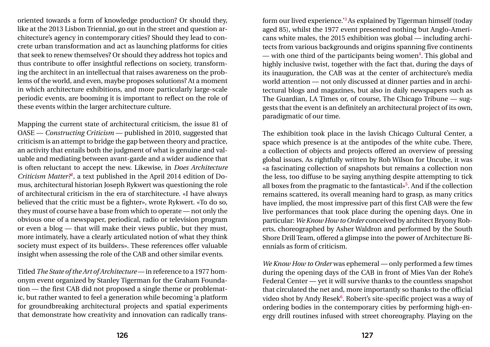oriented towards a form of knowledge production? Or should they, like at the 2013 Lisbon Triennial, go out in the street and question architecture's agency in contemporary cities? Should they lead to concrete urban transformation and act as launching platforms for cities that seek to renew themselves? Or should they address hot topics and thus contribute to offer insightful reflections on society, transforming the architect in an intellectual that raises awareness on the problems of the world, and even, maybe proposes solutions? At a moment in which architecture exhibitions, and more particularly large-scale periodic events, are booming it is important to reflect on the role of these events within the larger architecture culture.

Mapping the current state of architectural criticism, the issue 81 of OASE — *Constructing Criticism* — published in 2010, suggested that criticism is an attempt to bridge the gap between theory and practice, an activity that entails both the judgment of what is genuine and valuable and mediating between avant-garde and a wider audience that is often reluctant to accept the new. Likewise, in *Does Architecture Criticism Matter?***<sup>2</sup>** , a text published in the April 2014 edition of Domus, architectural historian Joseph Rykwert was questioning the role of architectural criticism in the era of starchitecture. «I have always believed that the critic must be a fighter», wrote Rykwert. «To do so, they must of course have a base from which to operate — not only the obvious one of a newspaper, periodical, radio or television program or even a blog — that will make their views public, but they must, more intimately, have a clearly articulated notion of what they think society must expect of its builders». These references offer valuable insight when assessing the role of the CAB and other similar events.

Titled *The State of the Art of Architecture* — in reference to a 1977 homonym event organized by Stanley Tigerman for the Graham Foundation — the first CAB did not proposed a single theme or problematic, but rather wanted to feel a generation while becoming 'a platform for groundbreaking architectural projects and spatial experiments that demonstrate how creativity and innovation can radically transform our lived experience.'**<sup>3</sup>**As explained by Tigerman himself (today aged 85), whilst the 1977 event presented nothing but Anglo-Americans white males, the 2015 exhibition was global — including architects from various backgrounds and origins spanning five continents — with one third of the participants being women**<sup>4</sup>** . This global and highly inclusive twist, together with the fact that, during the days of its inauguration, the CAB was at the center of architecture's media world attention — not only discussed at dinner parties and in architectural blogs and magazines, but also in daily newspapers such as The Guardian, LA Times or, of course, The Chicago Tribune — suggests that the event is an definitely an architectural project of its own, paradigmatic of our time.

The exhibition took place in the lavish Chicago Cultural Center, a space which presence is at the antipodes of the white cube. There, a collection of objects and projects offered an overview of pressing global issues. As rightfully written by Rob Wilson for Uncube, it was «a fascinating collection of snapshots but remains a collection non the less, too diffuse to be saying anything despite attempting to tick all boxes from the pragmatic to the fantastical»**<sup>5</sup>** . And if the collection remains scattered, its overall meaning hard to grasp, as many critics have implied, the most impressive part of this first CAB were the few live performances that took place during the opening days. One in particular: *We Know How to Order* conceived by architect Bryony Roberts, choreographed by Asher Waldron and performed by the South Shore Drill Team, offered a glimpse into the power of Architecture Biennials as form of criticism.

*We Know How to Order* was ephemeral — only performed a few times during the opening days of the CAB in front of Mies Van der Rohe's Federal Center — yet it will survive thanks to the countless snapshot that circulated the net and, more importantly so thanks to the official video shot by Andy Resek**<sup>6</sup>** . Robert's site-specific project was a way of ordering bodies in the contemporary cities by performing high-energy drill routines infused with street choreography. Playing on the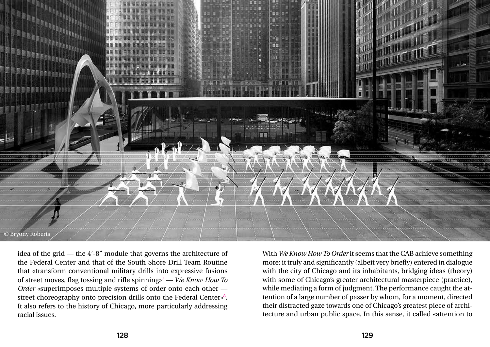idea of the grid — the 4'-8" module that governs the architecture of the Federal Center and that of the South Shore Drill Team Routine that «transform conventional military drills into expressive fusions of street moves, flag tossing and rifle spinning»**<sup>7</sup>** — *We Know How To Order* «superimposes multiple systems of order onto each other street choreography onto precision drills onto the Federal Center»**<sup>8</sup>** . It also refers to the history of Chicago, more particularly addressing racial issues.

With *We Know How To Order* it seems that the CAB achieve something more: it truly and significantly (albeit very briefly) entered in dialogue with the city of Chicago and its inhabitants, bridging ideas (theory) with some of Chicago's greater architectural masterpiece (practice), while mediating a form of judgment. The performance caught the attention of a large number of passer by whom, for a moment, directed their distracted gaze towards one of Chicago's greatest piece of architecture and urban public space. In this sense, it called «attention to